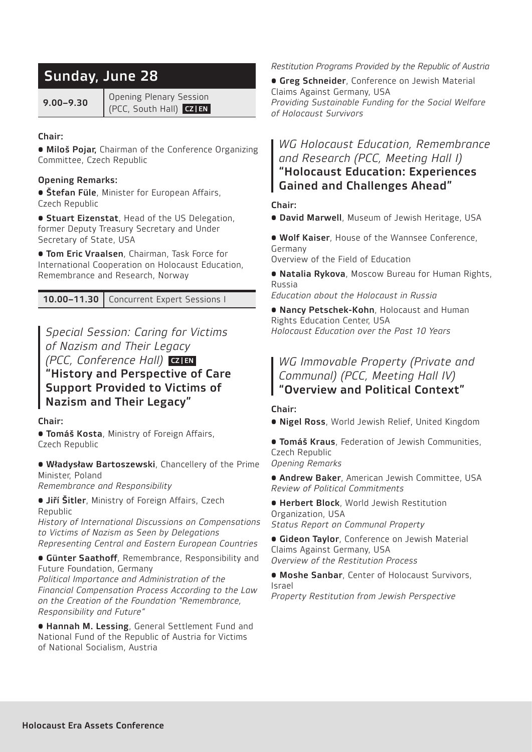# Sunday, June 28

9.00–9.30 Opening Plenary Session (PCC, South Hall) CZ | EN

## Chair:

• Miloš Pojar, Chairman of the Conference Organizing Committee, Czech Republic

## Opening Remarks:

**• Štefan Füle**, Minister for European Affairs, Czech Republic

**• Stuart Eizenstat**, Head of the US Delegation, former Deputy Treasury Secretary and Under Secretary of State, USA

**• Tom Eric Vraalsen**, Chairman, Task Force for International Cooperation on Holocaust Education, Remembrance and Research, Norway

10.00-11.30 | Concurrent Expert Sessions |

*Special Session: Caring for Victims of Nazism and Their Legacy (PCC, Conference Hall)* **CZIEN** "History and Perspective of Care Support Provided to Victims of Nazism and Their Legacy"

Chair:

**• Tomáš Kosta, Ministry of Foreign Affairs,** Czech Republic

• Władysław Bartoszewski, Chancellery of the Prime Minister, Poland

*Remembrance and Responsibility*

**• Jiří Šitler**, Ministry of Foreign Affairs, Czech Republic

*History of International Discussions on Compensations to Victims of Nazism as Seen by Delegations Representing Central and Eastern European Countries* 

• Günter Saathoff, Remembrance, Responsibility and

Future Foundation, Germany

*Political Importance and Administration of the Financial Compensation Process According to the Law on the Creation of the Foundation "Remembrance, Responsibility and Future"*

• Hannah M. Lessing, General Settlement Fund and National Fund of the Republic of Austria for Victims of National Socialism, Austria

*Restitution Programs Provided by the Republic of Austria* 

**• Greg Schneider**, Conference on Jewish Material Claims Against Germany, USA *Providing Sustainable Funding for the Social Welfare of Holocaust Survivors* 

## *WG Holocaust Education, Remembrance and Research (PCC, Meeting Hall I)*  "Holocaust Education: Experiences Gained and Challenges Ahead"

## Chair:

• David Marwell, Museum of Jewish Heritage, USA

• Wolf Kaiser, House of the Wannsee Conference, Germany

Overview of the Field of Education

• Natalia Rykova, Moscow Bureau for Human Rights, Russia

*Education about the Holocaust in Russia* 

• Nancy Petschek-Kohn, Holocaust and Human Rights Education Center, USA *Holocaust Education over the Past 10 Years* 

## *WG Immovable Property (Private and Communal) (PCC, Meeting Hall IV)*  "Overview and Political Context"

### Chair:

• Nigel Ross, World Jewish Relief, United Kingdom

**• Tomáš Kraus**, Federation of Jewish Communities, Czech Republic *Opening Remarks* 

**• Andrew Baker**, American Jewish Committee, USA *Review of Political Commitments* 

• Herbert Block, World Jewish Restitution Organization, USA

*Status Report on Communal Property* 

**• Gideon Taylor**, Conference on Jewish Material Claims Against Germany, USA *Overview of the Restitution Process* 

**• Moshe Sanbar**, Center of Holocaust Survivors, Israel

*Property Restitution from Jewish Perspective*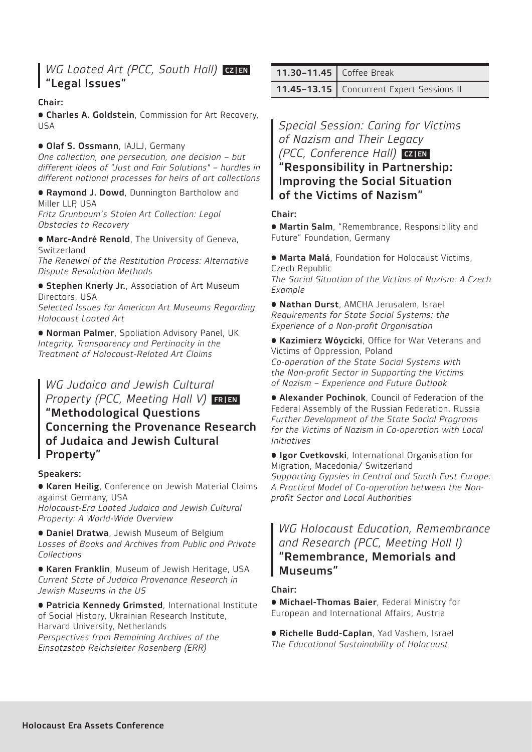## *WG Looted Art (PCC, South Hall)* **CZIEN** "Legal Issues"

## Chair:

• Charles A. Goldstein, Commission for Art Recovery, USA

### • Olaf S. Ossmann, IAJLJ, Germany

*One collection, one persecution, one decision – but different ideas of "Just and Fair Solutions" – hurdles in different national processes for heirs of art collections*

**• Raymond J. Dowd**, Dunnington Bartholow and Miller LLP, USA *Fritz Grunbaum's Stolen Art Collection: Legal Obstacles to Recovery* 

• Marc-André Renold, The University of Geneva, Switzerland

*The Renewal of the Restitution Process: Alternative Dispute Resolution Methods* 

**• Stephen Knerly Jr.**, Association of Art Museum Directors, USA

*Selected Issues for American Art Museums Regarding Holocaust Looted Art* 

• Norman Palmer, Spoliation Advisory Panel, UK *Integrity, Transparency and Pertinacity in the Treatment of Holocaust-Related Art Claims* 

## *WG Judaica and Jewish Cultural Property (PCC, Meeting Hall V)* FRIEN "Methodological Questions Concerning the Provenance Research of Judaica and Jewish Cultural Property"

### Speakers:

• Karen Heilig, Conference on Jewish Material Claims against Germany, USA

*Holocaust-Era Looted Judaica and Jewish Cultural Property: A World-Wide Overview*

• Daniel Dratwa, Jewish Museum of Belgium *Losses of Books and Archives from Public and Private Collections* 

**• Karen Franklin**, Museum of Jewish Heritage, USA *Current State of Judaica Provenance Research in Jewish Museums in the US* 

• Patricia Kennedy Grimsted, International Institute of Social History, Ukrainian Research Institute, Harvard University, Netherlands *Perspectives from Remaining Archives of the* 

*Einsatzstab Reichsleiter Rosenberg (ERR)* 

| 11.30-11.45   Coffee Break |  |
|----------------------------|--|
|                            |  |

11.45-13.15 | Concurrent Expert Sessions II

*Special Session: Caring for Victims of Nazism and Their Legacy (PCC, Conference Hall)* **CZIEN** "Responsibility in Partnership: Improving the Social Situation

of the Victims of Nazism"

### Chair:

• Martin Salm, "Remembrance, Responsibility and Future" Foundation, Germany

• Marta Malá, Foundation for Holocaust Victims, Czech Republic *The Social Situation of the Victims of Nazism: A Czech Example* 

• Nathan Durst, AMCHA Jerusalem, Israel *Requirements for State Social Systems: the Experience of a Non-profit Organisation* 

• Kazimierz Wóycicki, Office for War Veterans and Victims of Oppression, Poland *Co-operation of the State Social Systems with the Non-profit Sector in Supporting the Victims of Nazism – Experience and Future Outlook* 

**• Alexander Pochinok, Council of Federation of the** Federal Assembly of the Russian Federation, Russia *Further Development of the State Social Programs for the Victims of Nazism in Co-operation with Local Initiatives* 

**• Igor Cvetkovski**, International Organisation for Migration, Macedonia/ Switzerland *Supporting Gypsies in Central and South East Europe: A Practical Model of Co-operation between the Nonprofit Sector and Local Authorities* 

## *WG Holocaust Education, Remembrance and Research (PCC, Meeting Hall I)* "Remembrance, Memorials and Museums"

### Chair:

• Michael-Thomas Baier, Federal Ministry for European and International Affairs, Austria

• Richelle Budd-Caplan, Yad Vashem, Israel *The Educational Sustainability of Holocaust*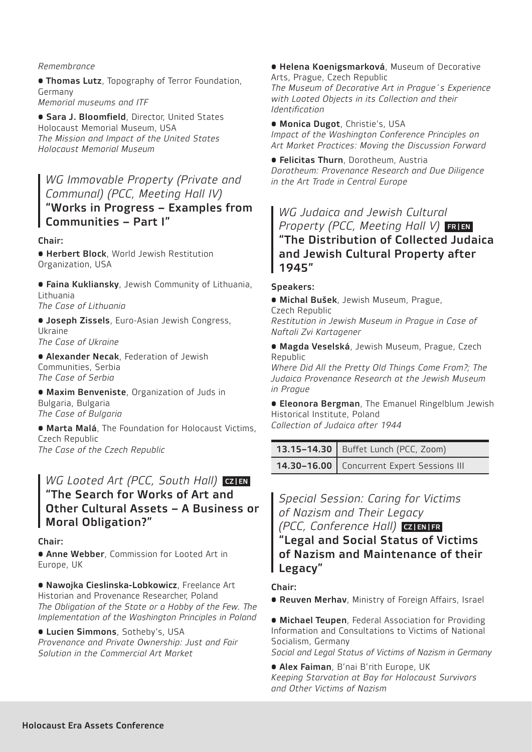### *Remembrance*

**• Thomas Lutz**, Topography of Terror Foundation, Germany

*Memorial museums and ITF*

• Sara J. Bloomfield, Director, United States Holocaust Memorial Museum, USA *The Mission and Impact of the United States Holocaust Memorial Museum*

*WG Immovable Property (Private and Communal) (PCC, Meeting Hall IV)*  "Works in Progress – Examples from Communities – Part I"

### Chair:

**• Herbert Block**, World Jewish Restitution Organization, USA

• Faina Kukliansky, Jewish Community of Lithuania, Lithuania

*The Case of Lithuania* 

**• Joseph Zissels**, Euro-Asian Jewish Congress, Ukraine *The Case of Ukraine* 

**• Alexander Necak**, Federation of Jewish Communities, Serbia *The Case of Serbia* 

• Maxim Benveniste, Organization of Juds in Bulgaria, Bulgaria *The Case of Bulgaria* 

• Marta Malá, The Foundation for Holocaust Victims, Czech Republic *The Case of the Czech Republic* 

## *WG Looted Art (PCC, South Hall)* **CZIEN** "The Search for Works of Art and Other Cultural Assets – A Business or Moral Obligation?"

#### Chair:

**• Anne Webber**, Commission for Looted Art in Europe, UK

• Nawojka Cieslinska-Lobkowicz, Freelance Art Historian and Provenance Researcher, Poland The Obligation of the State or a Hobby of the Few. The *Implementation of the Washington Principles in Poland* 

• Lucien Simmons, Sotheby's, USA

*Provenance and Private Ownership: Just and Fair Solution in the Commercial Art Market* 

• Helena Koenigsmarková, Museum of Decorative Arts, Prague, Czech Republic *The Museum of Decorative Art in Prague´s Experience with Looted Objects in its Collection and their Identification* 

• Monica Dugot, Christie's, USA *Impact of the Washington Conference Principles on Art Market Practices: Moving the Discussion Forward* 

• Felicitas Thurn, Dorotheum, Austria *Dorotheum: Provenance Research and Due Diligence in the Art Trade in Central Europe*

*WG Judaica and Jewish Cultural Property (PCC, Meeting Hall V)* FRIEN "The Distribution of Collected Judaica and Jewish Cultural Property after 1945"

#### Speakers:

• Michal Bušek, Jewish Museum, Prague,

Czech Republic *Restitution in Jewish Museum in Prague in Case of Naftali Zvi Kartagener*

• Magda Veselská, Jewish Museum, Prague, Czech Republic

*Where Did All the Pretty Old Things Come From?; The Judaica Provenance Research at the Jewish Museum in Prague*

**• Eleonora Bergman**, The Emanuel Ringelblum Jewish Historical Institute, Poland *Collection of Judaica after 1944*

13.15-14.30 | Buffet Lunch (PCC, Zoom) 14.30-16.00 | Concurrent Expert Sessions III

*Special Session: Caring for Victims of Nazism and Their Legacy (PCC, Conference Hall)* CZ | EN | FR "Legal and Social Status of Victims of Nazism and Maintenance of their Legacy"

Chair:

• Reuven Merhav, Ministry of Foreign Affairs, Israel

**• Michael Teupen, Federal Association for Providing** Information and Consultations to Victims of National Socialism, Germany

*Social and Legal Status of Victims of Nazism in Germany* 

• Alex Faiman, B'nai B'rith Europe, UK *Keeping Starvation at Bay for Holocaust Survivors and Other Victims of Nazism*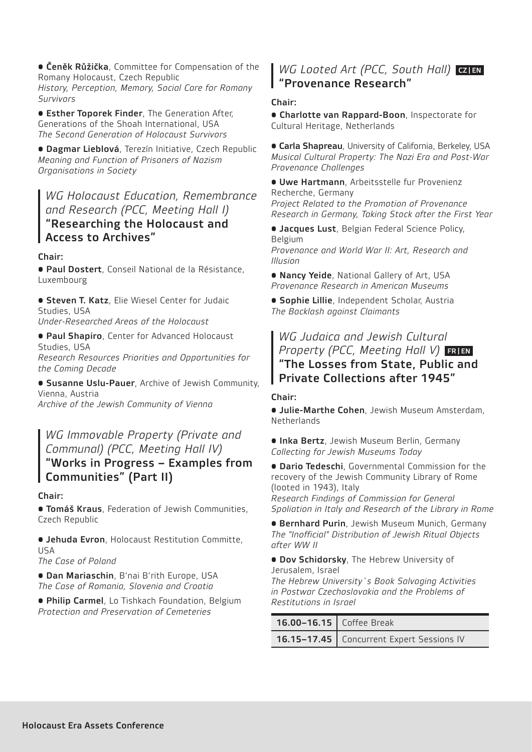• Čeněk Růžička, Committee for Compensation of the Romany Holocaust, Czech Republic *History, Perception, Memory, Social Care for Romany Survivors* 

• Esther Toporek Finder, The Generation After, Generations of the Shoah International, USA *The Second Generation of Holocaust Survivors* 

• Dagmar Lieblová, Terezín Initiative, Czech Republic *Meaning and Function of Prisoners of Nazism Organisations in Society* 

*WG Holocaust Education, Remembrance and Research (PCC, Meeting Hall I)*  "Researching the Holocaust and Access to Archives"

### Chair:

• Paul Dostert, Conseil National de la Résistance, Luxembourg

**• Steven T. Katz**, Elie Wiesel Center for Judaic Studies, USA

*Under-Researched Areas of the Holocaust* 

• Paul Shapiro, Center for Advanced Holocaust Studies, USA *Research Resources Priorities and Opportunities for the Coming Decade*

• Susanne Uslu-Pauer, Archive of Jewish Community, Vienna, Austria *Archive of the Jewish Community of Vienna* 

## *WG Immovable Property (Private and Communal) (PCC, Meeting Hall IV)* "Works in Progress – Examples from Communities" (Part II)

### Chair:

**• Tomáš Kraus**, Federation of Jewish Communities, Czech Republic

• Jehuda Evron, Holocaust Restitution Committe, USA

*The Case of Poland* 

• Dan Mariaschin, B'nai B'rith Europe, USA *The Case of Romania, Slovenia and Croatia* 

• Philip Carmel, Lo Tishkach Foundation, Belgium *Protection and Preservation of Cemeteries* 

## *WG Looted Art (PCC, South Hall)* CZIEN "Provenance Research"

## Chair:

• Charlotte van Rappard-Boon, Inspectorate for Cultural Heritage, Netherlands

**• Carla Shapreau**, University of California, Berkeley, USA *Musical Cultural Property: The Nazi Era and Post-War Provenance Challenges*

• Uwe Hartmann, Arbeitsstelle fur Provenienz Recherche, Germany *Project Related to the Promotion of Provenance Research in Germany, Taking Stock after the First Year* 

**• Jacques Lust**, Belgian Federal Science Policy, Belgium

*Provenance and World War II: Art, Research and Illusion*

**• Nancy Yeide**, National Gallery of Art, USA *Provenance Research in American Museums* 

• Sophie Lillie, Independent Scholar, Austria *The Backlash against Claimants* 

## *WG Judaica and Jewish Cultural Property (PCC, Meeting Hall V)* FRIEN "The Losses from State, Public and Private Collections after 1945"

### Chair:

• Julie-Marthe Cohen, Jewish Museum Amsterdam, **Netherlands** 

**• Inka Bertz**, Jewish Museum Berlin, Germany *Collecting for Jewish Museums Today*

• Dario Tedeschi, Governmental Commission for the recovery of the Jewish Community Library of Rome (looted in 1943), Italy

*Research Findings of Commission for General Spoliation in Italy and Research of the Library in Rome*

**• Bernhard Purin**, Jewish Museum Munich, Germany *The "Inofficial" Distribution of Jewish Ritual Objects after WW II* 

**• Dov Schidorsky**, The Hebrew University of Jerusalem, Israel

*The Hebrew University`s Book Salvaging Activities in Postwar Czechoslovakia and the Problems of Restitutions in Israel*

| 16.00-16.15   Coffee Break |                                             |
|----------------------------|---------------------------------------------|
|                            | 16.15-17.45   Concurrent Expert Sessions IV |